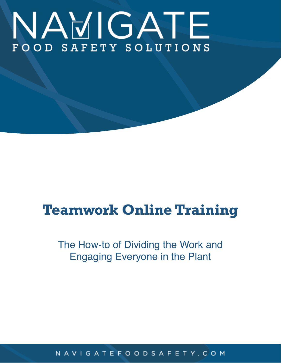# NAVIGATE FOOD SAFETY SOLUTIONS

# **Teamwork Online Training**

# The How-to of Dividing the Work and Engaging Everyone in the Plant

#### N A V I G A T E F O O D S A F E T Y . C O M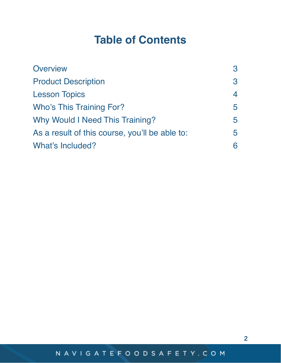# **Table of Contents**

| <b>Overview</b>                                | 3                        |
|------------------------------------------------|--------------------------|
| <b>Product Description</b>                     | 3                        |
| <b>Lesson Topics</b>                           | $\overline{\mathcal{A}}$ |
| <b>Who's This Training For?</b>                | 5                        |
| Why Would I Need This Training?                | 5                        |
| As a result of this course, you'll be able to: |                          |
| What's Included?                               | 6                        |

2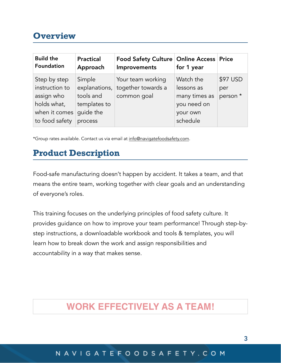## <span id="page-2-0"></span>**Overview**

| <b>Build the</b><br>Foundation | <b>Practical</b><br>Approach | <b>Food Safety Culture   Online Access   Price</b><br>Improvements | for 1 year    |          |
|--------------------------------|------------------------------|--------------------------------------------------------------------|---------------|----------|
| Step by step                   | Simple                       | Your team working                                                  | Watch the     | \$97 USD |
| instruction to                 |                              | explanations, together towards a                                   | lessons as    | per      |
| assign who                     | tools and                    | common goal                                                        | many times as | person * |
| holds what,                    | templates to                 |                                                                    | you need on   |          |
| when it comes                  | quide the                    |                                                                    | your own      |          |
| to food safety                 | process                      |                                                                    | schedule      |          |

\*Group rates available. Contact us via email at [info@navigatefoodsafety.com](mailto:info@navigatefoodsafety.com).

## <span id="page-2-1"></span>**Product Description**

Food-safe manufacturing doesn't happen by accident. It takes a team, and that means the entire team, working together with clear goals and an understanding of everyone's roles.

This training focuses on the underlying principles of food safety culture. It provides guidance on how to improve your team performance! Through step-bystep instructions, a downloadable workbook and tools & templates, you will learn how to break down the work and assign responsibilities and accountability in a way that makes sense.

## **WORK EFFECTIVELY AS A TEAM!**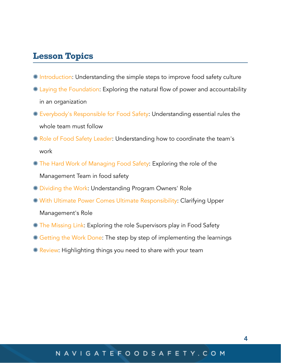#### <span id="page-3-0"></span>**Lesson Topics**

- **\* Introduction: Understanding the simple steps to improve food safety culture**
- Laying the Foundation: Exploring the natural flow of power and accountability in an organization
- Everybody's Responsible for Food Safety: Understanding essential rules the whole team must follow
- **K** Role of Food Safety Leader: Understanding how to coordinate the team's work
- **\*** The Hard Work of Managing Food Safety: Exploring the role of the Management Team in food safety
- Dividing the Work: Understanding Program Owners' Role
- With Ultimate Power Comes Ultimate Responsibility: Clarifying Upper

Management's Role

- **<sup>\*</sup>** The Missing Link: Exploring the role Supervisors play in Food Safety
- Getting the Work Done: The step by step of implementing the learnings
- **K** Review: Highlighting things you need to share with your team

#### N A V I G A T E F O O D S A F E T Y . C O M

4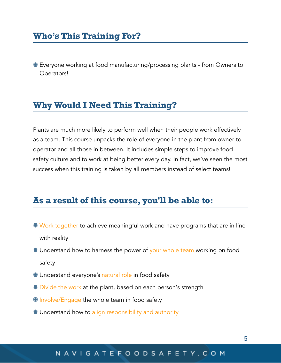## <span id="page-4-0"></span>**Who's This Training For?**

Everyone working at food manufacturing/processing plants - from Owners to Operators!

#### <span id="page-4-1"></span>**Why Would I Need This Training?**

Plants are much more likely to perform well when their people work effectively as a team. This course unpacks the role of everyone in the plant from owner to operator and all those in between. It includes simple steps to improve food safety culture and to work at being better every day. In fact, we've seen the most success when this training is taken by all members instead of select teams!

#### <span id="page-4-2"></span>**As a result of this course, you'll be able to:**

- **\* Work together to achieve meaningful work and have programs that are in line** with reality
- \* Understand how to harness the power of your whole team working on food safety
- **\*** Understand everyone's natural role in food safety
- **\*** Divide the work at the plant, based on each person's strength
- **K** Involve/Engage the whole team in food safety
- Understand how to align responsibility and authority

#### N A V I G A T E F O O D S A F E T Y . C O M